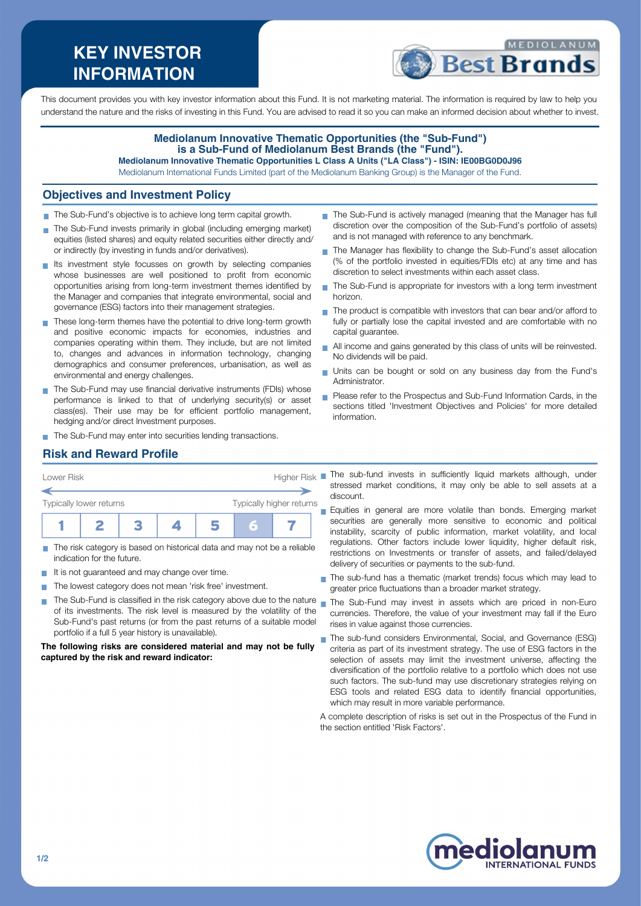# **KEY INVESTOR INFORMATION**



This document provides you with key investor information about this Fund. It is not marketing material. The information is required by law to help you understand the nature and the risks of investing in this Fund. You are advised to read it so you can make an informed decision about whether to invest.

#### **Mediolanum Innovative Thematic Opportunities (the "Sub-Fund") is a Sub-Fund of Mediolanum Best Brands (the "Fund"). Mediolanum Innovative Thematic Opportunities L Class A Units ("LA Class") - ISIN: IE00BG0D0J96**

Mediolanum International Funds Limited (part of the Mediolanum Banking Group) is the Manager of the Fund.

#### **Objectives and Investment Policy**

- The Sub-Fund's objective is to achieve long term capital growth.
- The Sub-Fund invests primarily in global (including emerging market) equities (listed shares) and equity related securities either directly and/ or indirectly (by investing in funds and/or derivatives).
- Its investment style focusses on growth by selecting companies whose businesses are well positioned to profit from economic opportunities arising from long-term investment themes identified by the Manager and companies that integrate environmental, social and governance (ESG) factors into their management strategies.
- These long-term themes have the potential to drive long-term growth and positive economic impacts for economies, industries and companies operating within them. They include, but are not limited to, changes and advances in information technology, changing demographics and consumer preferences, urbanisation, as well as environmental and energy challenges.
- The Sub-Fund may use financial derivative instruments (FDIs) whose performance is linked to that of underlying security(s) or asset class(es). Their use may be for efficient portfolio management, hedging and/or direct Investment purposes.
- The Sub-Fund may enter into securities lending transactions.
- The Sub-Fund is actively managed (meaning that the Manager has full discretion over the composition of the Sub-Fund's portfolio of assets) and is not managed with reference to any benchmark.
- The Manager has flexibility to change the Sub-Fund's asset allocation (% of the portfolio invested in equities/FDIs etc) at any time and has discretion to select investments within each asset class.
- $\blacksquare$  The Sub-Fund is appropriate for investors with a long term investment horizon.
- $\blacksquare$  The product is compatible with investors that can bear and/or afford to fully or partially lose the capital invested and are comfortable with no capital guarantee.
- All income and gains generated by this class of units will be reinvested. No dividends will be paid.
- Units can be bought or sold on any business day from the Fund's Administrator.
- **Please refer to the Prospectus and Sub-Fund Information Cards, in the** sections titled 'Investment Objectives and Policies' for more detailed information.

### **Risk and Reward Profile**

| Typically lower returns |  |  |                    |  | Typically higher returns |  |
|-------------------------|--|--|--------------------|--|--------------------------|--|
|                         |  |  |                    |  |                          |  |
| Lower Risk              |  |  | <b>Higher Risk</b> |  |                          |  |

- The risk category is based on historical data and may not be a reliable indication for the future.
- $\blacksquare$  It is not quaranteed and may change over time.
- The lowest category does not mean 'risk free' investment. **The State**
- The Sub-Fund is classified in the risk category above due to the nature m. of its investments. The risk level is measured by the volatility of the Sub-Fund's past returns (or from the past returns of a suitable model portfolio if a full 5 year history is unavailable).

**The following risks are considered material and may not be fully captured by the risk and reward indicator:**

- The sub-fund invests in sufficiently liquid markets although, under stressed market conditions, it may only be able to sell assets at a discount.
- Equities in general are more volatile than bonds. Emerging market securities are generally more sensitive to economic and political instability, scarcity of public information, market volatility, and local regulations. Other factors include lower liquidity, higher default risk, restrictions on Investments or transfer of assets, and failed/delayed delivery of securities or payments to the sub-fund.
- The sub-fund has a thematic (market trends) focus which may lead to greater price fluctuations than a broader market strategy.
- The Sub-Fund may invest in assets which are priced in non-Euro currencies. Therefore, the value of your investment may fall if the Euro rises in value against those currencies.
- The sub-fund considers Environmental, Social, and Governance (ESG) criteria as part of its investment strategy. The use of ESG factors in the selection of assets may limit the investment universe, affecting the diversification of the portfolio relative to a portfolio which does not use such factors. The sub-fund may use discretionary strategies relying on ESG tools and related ESG data to identify financial opportunities, which may result in more variable performance.

A complete description of risks is set out in the Prospectus of the Fund in the section entitled 'Risk Factors'.